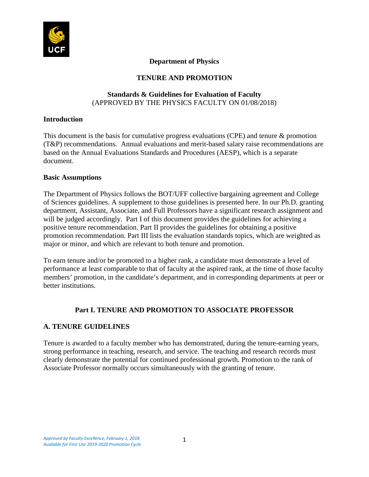

### **Department of Physics**

## **TENURE AND PROMOTION**

### **Standards & Guidelines for Evaluation of Faculty** (APPROVED BY THE PHYSICS FACULTY ON 01/08/2018)

### **Introduction**

This document is the basis for cumulative progress evaluations (CPE) and tenure & promotion (T&P) recommendations. Annual evaluations and merit-based salary raise recommendations are based on the Annual Evaluations Standards and Procedures (AESP), which is a separate document.

### **Basic Assumptions**

The Department of Physics follows the BOT/UFF collective bargaining agreement and College of Sciences guidelines. A supplement to those guidelines is presented here. In our Ph.D. granting department, Assistant, Associate, and Full Professors have a significant research assignment and will be judged accordingly. Part I of this document provides the guidelines for achieving a positive tenure recommendation. Part II provides the guidelines for obtaining a positive promotion recommendation. Part III lists the evaluation standards topics, which are weighted as major or minor, and which are relevant to both tenure and promotion.

To earn tenure and/or be promoted to a higher rank, a candidate must demonstrate a level of performance at least comparable to that of faculty at the aspired rank, at the time of those faculty members' promotion, in the candidate's department, and in corresponding departments at peer or better institutions.

## **Part I. TENURE AND PROMOTION TO ASSOCIATE PROFESSOR**

## **A. TENURE GUIDELINES**

Tenure is awarded to a faculty member who has demonstrated, during the tenure-earning years, strong performance in teaching, research, and service. The teaching and research records must clearly demonstrate the potential for continued professional growth. Promotion to the rank of Associate Professor normally occurs simultaneously with the granting of tenure.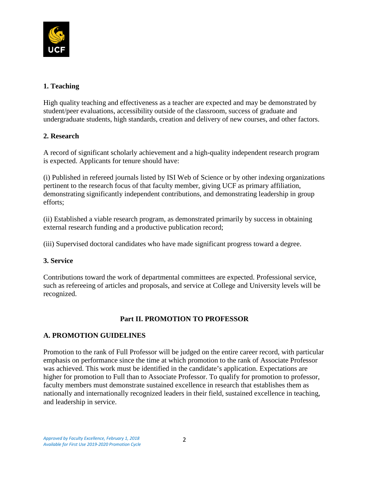

## **1. Teaching**

High quality teaching and effectiveness as a teacher are expected and may be demonstrated by student/peer evaluations, accessibility outside of the classroom, success of graduate and undergraduate students, high standards, creation and delivery of new courses, and other factors.

## **2. Research**

A record of significant scholarly achievement and a high-quality independent research program is expected. Applicants for tenure should have:

(i) Published in refereed journals listed by ISI Web of Science or by other indexing organizations pertinent to the research focus of that faculty member, giving UCF as primary affiliation, demonstrating significantly independent contributions, and demonstrating leadership in group efforts;

(ii) Established a viable research program, as demonstrated primarily by success in obtaining external research funding and a productive publication record;

(iii) Supervised doctoral candidates who have made significant progress toward a degree.

## **3. Service**

Contributions toward the work of departmental committees are expected. Professional service, such as refereeing of articles and proposals, and service at College and University levels will be recognized.

# **Part II. PROMOTION TO PROFESSOR**

## **A. PROMOTION GUIDELINES**

Promotion to the rank of Full Professor will be judged on the entire career record, with particular emphasis on performance since the time at which promotion to the rank of Associate Professor was achieved. This work must be identified in the candidate's application. Expectations are higher for promotion to Full than to Associate Professor. To qualify for promotion to professor, faculty members must demonstrate sustained excellence in research that establishes them as nationally and internationally recognized leaders in their field, sustained excellence in teaching, and leadership in service.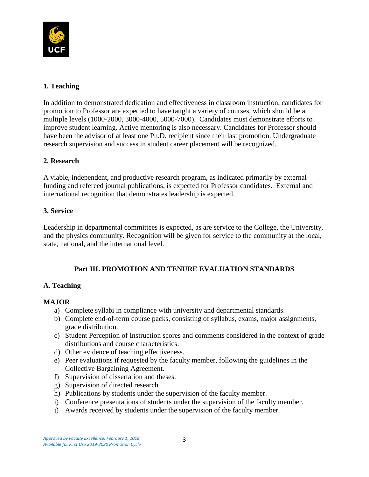

# **1. Teaching**

In addition to demonstrated dedication and effectiveness in classroom instruction, candidates for promotion to Professor are expected to have taught a variety of courses, which should be at multiple levels (1000-2000, 3000-4000, 5000-7000). Candidates must demonstrate efforts to improve student learning. Active mentoring is also necessary. Candidates for Professor should have been the advisor of at least one Ph.D. recipient since their last promotion. Undergraduate research supervision and success in student career placement will be recognized.

## **2. Research**

A viable, independent, and productive research program, as indicated primarily by external funding and refereed journal publications, is expected for Professor candidates. External and international recognition that demonstrates leadership is expected.

## **3. Service**

Leadership in departmental committees is expected, as are service to the College, the University, and the physics community. Recognition will be given for service to the community at the local, state, national, and the international level.

## **Part III. PROMOTION AND TENURE EVALUATION STANDARDS**

## **A. Teaching**

### **MAJOR**

- a) Complete syllabi in compliance with university and departmental standards.
- b) Complete end-of-term course packs, consisting of syllabus, exams, major assignments, grade distribution.
- c) Student Perception of Instruction scores and comments considered in the context of grade distributions and course characteristics.
- d) Other evidence of teaching effectiveness.
- e) Peer evaluations if requested by the faculty member, following the guidelines in the Collective Bargaining Agreement.
- f) Supervision of dissertation and theses.
- g) Supervision of directed research.
- h) Publications by students under the supervision of the faculty member.
- i) Conference presentations of students under the supervision of the faculty member.
- j) Awards received by students under the supervision of the faculty member.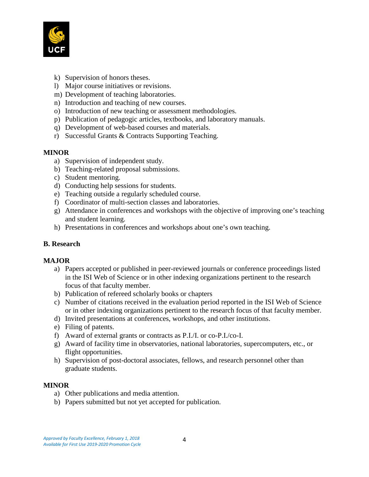

- k) Supervision of honors theses.
- l) Major course initiatives or revisions.
- m) Development of teaching laboratories.
- n) Introduction and teaching of new courses.
- o) Introduction of new teaching or assessment methodologies.
- p) Publication of pedagogic articles, textbooks, and laboratory manuals.
- q) Development of web-based courses and materials.
- r) Successful Grants & Contracts Supporting Teaching.

### **MINOR**

- a) Supervision of independent study.
- b) Teaching-related proposal submissions.
- c) Student mentoring.
- d) Conducting help sessions for students.
- e) Teaching outside a regularly scheduled course.
- f) Coordinator of multi-section classes and laboratories.
- g) Attendance in conferences and workshops with the objective of improving one's teaching and student learning.
- h) Presentations in conferences and workshops about one's own teaching.

## **B. Research**

### **MAJOR**

- a) Papers accepted or published in peer-reviewed journals or conference proceedings listed in the ISI Web of Science or in other indexing organizations pertinent to the research focus of that faculty member.
- b) Publication of refereed scholarly books or chapters
- c) Number of citations received in the evaluation period reported in the ISI Web of Science or in other indexing organizations pertinent to the research focus of that faculty member.
- d) Invited presentations at conferences, workshops, and other institutions.
- e) Filing of patents.
- f) Award of external grants or contracts as P.I./I. or co-P.I./co-I.
- g) Award of facility time in observatories, national laboratories, supercomputers, etc., or flight opportunities.
- h) Supervision of post-doctoral associates, fellows, and research personnel other than graduate students.

### **MINOR**

- a) Other publications and media attention.
- b) Papers submitted but not yet accepted for publication.